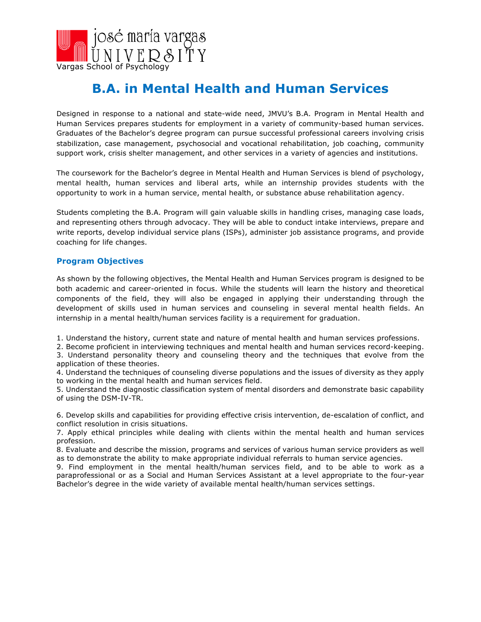

# **B.A. in Mental Health and Human Services**

Designed in response to a national and state-wide need, JMVU's B.A. Program in Mental Health and Human Services prepares students for employment in a variety of community-based human services. Graduates of the Bachelor's degree program can pursue successful professional careers involving crisis stabilization, case management, psychosocial and vocational rehabilitation, job coaching, community support work, crisis shelter management, and other services in a variety of agencies and institutions.

The coursework for the Bachelor's degree in Mental Health and Human Services is blend of psychology, mental health, human services and liberal arts, while an internship provides students with the opportunity to work in a human service, mental health, or substance abuse rehabilitation agency.

Students completing the B.A. Program will gain valuable skills in handling crises, managing case loads, and representing others through advocacy. They will be able to conduct intake interviews, prepare and write reports, develop individual service plans (ISPs), administer job assistance programs, and provide coaching for life changes.

#### **Program Objectives**

As shown by the following objectives, the Mental Health and Human Services program is designed to be both academic and career-oriented in focus. While the students will learn the history and theoretical components of the field, they will also be engaged in applying their understanding through the development of skills used in human services and counseling in several mental health fields. An internship in a mental health/human services facility is a requirement for graduation.

1. Understand the history, current state and nature of mental health and human services professions.

2. Become proficient in interviewing techniques and mental health and human services record-keeping. 3. Understand personality theory and counseling theory and the techniques that evolve from the application of these theories.

4. Understand the techniques of counseling diverse populations and the issues of diversity as they apply to working in the mental health and human services field.

5. Understand the diagnostic classification system of mental disorders and demonstrate basic capability of using the DSM-IV-TR.

6. Develop skills and capabilities for providing effective crisis intervention, de-escalation of conflict, and conflict resolution in crisis situations.

7. Apply ethical principles while dealing with clients within the mental health and human services profession.

8. Evaluate and describe the mission, programs and services of various human service providers as well as to demonstrate the ability to make appropriate individual referrals to human service agencies.

9. Find employment in the mental health/human services field, and to be able to work as a paraprofessional or as a Social and Human Services Assistant at a level appropriate to the four-year Bachelor's degree in the wide variety of available mental health/human services settings.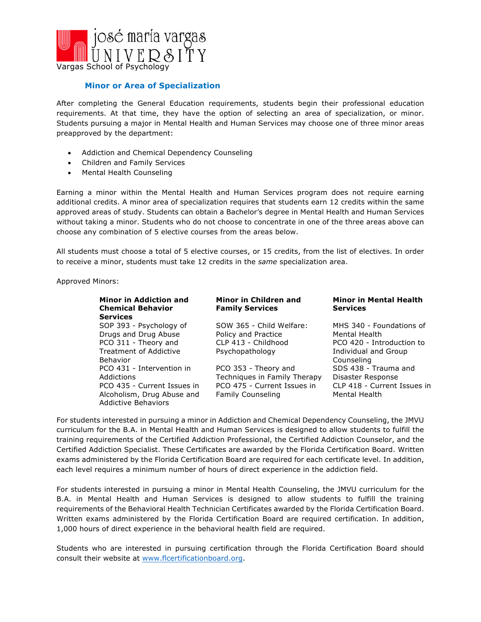

### **Minor or Area of Specialization**

After completing the General Education requirements, students begin their professional education requirements. At that time, they have the option of selecting an area of specialization, or minor. Students pursuing a major in Mental Health and Human Services may choose one of three minor areas preapproved by the department:

- Addiction and Chemical Dependency Counseling
- Children and Family Services
- Mental Health Counseling

Earning a minor within the Mental Health and Human Services program does not require earning additional credits. A minor area of specialization requires that students earn 12 credits within the same approved areas of study. Students can obtain a Bachelor's degree in Mental Health and Human Services without taking a minor. Students who do not choose to concentrate in one of the three areas above can choose any combination of 5 elective courses from the areas below.

All students must choose a total of 5 elective courses, or 15 credits, from the list of electives. In order to receive a minor, students must take 12 credits in the *same* specialization area.

Approved Minors:

| <b>Minor in Addiction and</b><br><b>Chemical Behavior</b><br><b>Services</b> | Minor in Children and<br><b>Family Services</b> | <b>Minor in Mental Health</b><br><b>Services</b> |
|------------------------------------------------------------------------------|-------------------------------------------------|--------------------------------------------------|
| SOP 393 - Psychology of                                                      | SOW 365 - Child Welfare:                        | MHS 340 - Foundations of                         |
| Drugs and Drug Abuse                                                         | Policy and Practice                             | Mental Health                                    |
| PCO 311 - Theory and                                                         | CLP 413 - Childhood                             | PCO 420 - Introduction to                        |
| <b>Treatment of Addictive</b>                                                | Psychopathology                                 | Individual and Group                             |
| Behavior                                                                     |                                                 | Counseling                                       |
| PCO 431 - Intervention in                                                    | PCO 353 - Theory and                            | SDS 438 - Trauma and                             |
| Addictions                                                                   | Techniques in Family Therapy                    | Disaster Response                                |
| PCO 435 - Current Issues in                                                  | PCO 475 - Current Issues in                     | CLP 418 - Current Issues in                      |
| Alcoholism, Drug Abuse and                                                   | <b>Family Counseling</b>                        | Mental Health                                    |
| Addictive Behaviors                                                          |                                                 |                                                  |

For students interested in pursuing a minor in Addiction and Chemical Dependency Counseling, the JMVU curriculum for the B.A. in Mental Health and Human Services is designed to allow students to fulfill the training requirements of the Certified Addiction Professional, the Certified Addiction Counselor, and the Certified Addiction Specialist. These Certificates are awarded by the Florida Certification Board. Written exams administered by the Florida Certification Board are required for each certificate level. In addition, each level requires a minimum number of hours of direct experience in the addiction field.

For students interested in pursuing a minor in Mental Health Counseling, the JMVU curriculum for the B.A. in Mental Health and Human Services is designed to allow students to fulfill the training requirements of the Behavioral Health Technician Certificates awarded by the Florida Certification Board. Written exams administered by the Florida Certification Board are required certification. In addition, 1,000 hours of direct experience in the behavioral health field are required.

Students who are interested in pursuing certification through the Florida Certification Board should consult their website at www.flcertificationboard.org.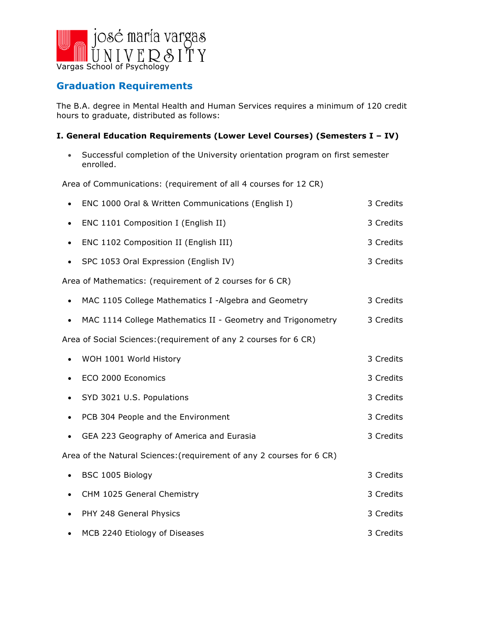

# **Graduation Requirements**

The B.A. degree in Mental Health and Human Services requires a minimum of 120 credit hours to graduate, distributed as follows:

### **I. General Education Requirements (Lower Level Courses) (Semesters I – IV)**

• Successful completion of the University orientation program on first semester enrolled.

Area of Communications: (requirement of all 4 courses for 12 CR)

|                                                                  | ENC 1000 Oral & Written Communications (English I)                    |  | 3 Credits |
|------------------------------------------------------------------|-----------------------------------------------------------------------|--|-----------|
| $\bullet$                                                        | ENC 1101 Composition I (English II)                                   |  | 3 Credits |
| $\bullet$                                                        | ENC 1102 Composition II (English III)                                 |  | 3 Credits |
| $\bullet$                                                        | SPC 1053 Oral Expression (English IV)                                 |  | 3 Credits |
|                                                                  | Area of Mathematics: (requirement of 2 courses for 6 CR)              |  |           |
| $\bullet$                                                        | MAC 1105 College Mathematics I -Algebra and Geometry                  |  | 3 Credits |
| $\bullet$                                                        | MAC 1114 College Mathematics II - Geometry and Trigonometry           |  | 3 Credits |
| Area of Social Sciences: (requirement of any 2 courses for 6 CR) |                                                                       |  |           |
|                                                                  | WOH 1001 World History                                                |  | 3 Credits |
|                                                                  | ECO 2000 Economics                                                    |  | 3 Credits |
|                                                                  | SYD 3021 U.S. Populations                                             |  | 3 Credits |
|                                                                  | PCB 304 People and the Environment                                    |  | 3 Credits |
|                                                                  | GEA 223 Geography of America and Eurasia                              |  | 3 Credits |
|                                                                  | Area of the Natural Sciences: (requirement of any 2 courses for 6 CR) |  |           |
| $\bullet$                                                        | BSC 1005 Biology                                                      |  | 3 Credits |
| $\bullet$                                                        | CHM 1025 General Chemistry                                            |  | 3 Credits |
| $\bullet$                                                        | PHY 248 General Physics                                               |  | 3 Credits |
|                                                                  | MCB 2240 Etiology of Diseases                                         |  | 3 Credits |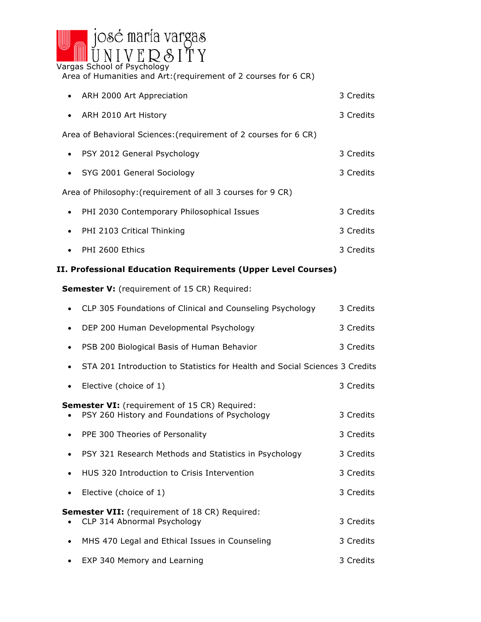

Area of Humanities and Art:(requirement of 2 courses for 6 CR)

|                                                             | • ARH 2000 Art Appreciation                                      | 3 Credits |
|-------------------------------------------------------------|------------------------------------------------------------------|-----------|
|                                                             | • ARH 2010 Art History                                           | 3 Credits |
|                                                             | Area of Behavioral Sciences: (requirement of 2 courses for 6 CR) |           |
|                                                             | • PSY 2012 General Psychology                                    | 3 Credits |
|                                                             | • SYG 2001 General Sociology                                     | 3 Credits |
| Area of Philosophy: (requirement of all 3 courses for 9 CR) |                                                                  |           |
| $\bullet$                                                   | PHI 2030 Contemporary Philosophical Issues                       | 3 Credits |
|                                                             | • PHI 2103 Critical Thinking                                     | 3 Credits |
| $\bullet$                                                   | PHI 2600 Ethics                                                  | 3 Credits |

## **II. Professional Education Requirements (Upper Level Courses)**

**Semester V:** (requirement of 15 CR) Required:

|           | CLP 305 Foundations of Clinical and Counseling Psychology                                      | 3 Credits |
|-----------|------------------------------------------------------------------------------------------------|-----------|
| $\bullet$ | DEP 200 Human Developmental Psychology                                                         | 3 Credits |
|           | PSB 200 Biological Basis of Human Behavior                                                     | 3 Credits |
|           | STA 201 Introduction to Statistics for Health and Social Sciences 3 Credits                    |           |
| $\bullet$ | Elective (choice of 1)                                                                         | 3 Credits |
|           | Semester VI: (requirement of 15 CR) Required:<br>PSY 260 History and Foundations of Psychology | 3 Credits |
| $\bullet$ | PPE 300 Theories of Personality                                                                | 3 Credits |
|           | PSY 321 Research Methods and Statistics in Psychology                                          | 3 Credits |
| $\bullet$ | HUS 320 Introduction to Crisis Intervention                                                    | 3 Credits |
|           | Elective (choice of 1)                                                                         | 3 Credits |
|           | Semester VII: (requirement of 18 CR) Required:<br>CLP 314 Abnormal Psychology                  | 3 Credits |
| $\bullet$ | MHS 470 Legal and Ethical Issues in Counseling                                                 | 3 Credits |
| $\bullet$ | EXP 340 Memory and Learning                                                                    | 3 Credits |